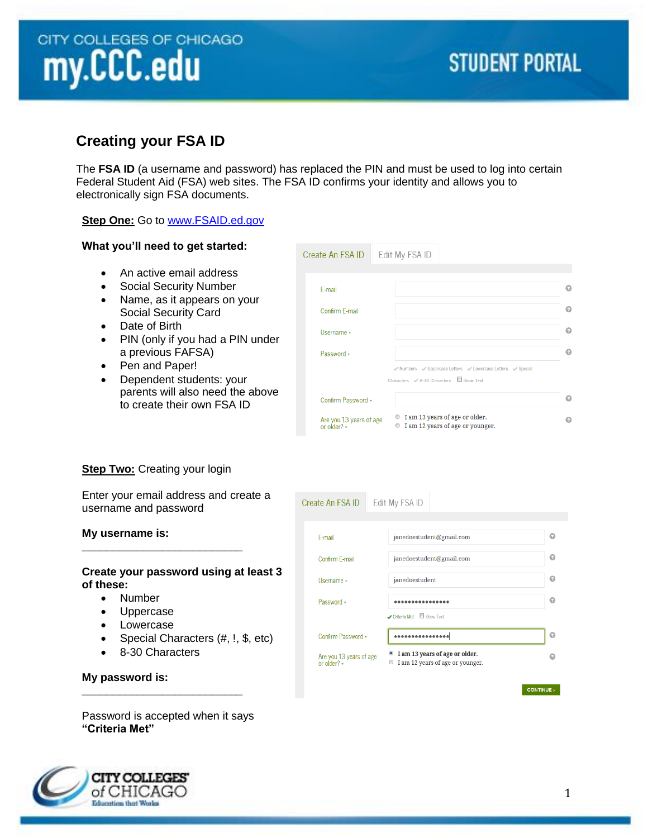# CITY COLLEGES OF CHICAGO my.CCC.edu

# **STUDENT PORTAL**

# **Creating your FSA ID**

The **FSA ID** (a username and password) has replaced the PIN and must be used to log into certain Federal Student Aid (FSA) web sites. The FSA ID confirms your identity and allows you to electronically sign FSA documents.

Create An FSA ID

## **Step One:** Go to [www.FSAID.ed.gov](http://www.fsaid.ed.gov/)

### **What you'll need to get started:**

- An active email address
- Social Security Number
- Name, as it appears on your Social Security Card
- Date of Birth
- PIN (only if you had a PIN under a previous FAFSA)
- Pen and Paper!
- Dependent students: your parents will also need the above to create their own FSA ID

| Create An FSA ID                             | Edit My FSA ID                                                                                        |  |
|----------------------------------------------|-------------------------------------------------------------------------------------------------------|--|
|                                              |                                                                                                       |  |
| E-mail                                       |                                                                                                       |  |
| Confirm F-mail                               |                                                                                                       |  |
| Username *                                   |                                                                                                       |  |
| Password *                                   |                                                                                                       |  |
|                                              | V Numbers V Uppercase Letters V Lowercase Letters V Special<br>Characters < 8-30 Characters Show Text |  |
| Confirm Password *                           |                                                                                                       |  |
| Are you 13 years of age<br>or older? $\star$ | I am 13 years of age or older.<br>◉<br>I am 12 years of age or younger.<br>$^{\circ}$                 |  |

# **Step Two: Creating your login**

**\_\_\_\_\_\_\_\_\_\_\_\_\_\_\_\_\_\_\_\_\_\_\_\_\_\_**

Enter your email address and create a username and password

### **My username is:**

#### **Create your password using at least 3 of these:**

- Number
- Uppercase
- Lowercase
- Special Characters (#, !, \$, etc)
- 8-30 Characters

**\_\_\_\_\_\_\_\_\_\_\_\_\_\_\_\_\_\_\_\_\_\_\_\_\_\_**

| F-mail                                       | janedoestudent@gmail.com                                                                          | ๏ |  |  |
|----------------------------------------------|---------------------------------------------------------------------------------------------------|---|--|--|
| Confirm F-mail                               | janedoestudent@gmail.com                                                                          |   |  |  |
| Username *                                   | janedoestudent                                                                                    | Ω |  |  |
| Password *                                   | Criteria Met Show Text                                                                            | Ω |  |  |
| Confirm Password *                           | .                                                                                                 | Ω |  |  |
| Are you 13 years of age<br>or older? $\star$ | I am 13 years of age or older.<br>$\bullet$<br>I am 12 years of age or younger.<br>$\circledcirc$ |   |  |  |

**Edit My FSA ID** 

**My password is:** 

Password is accepted when it says **"Criteria Met"**